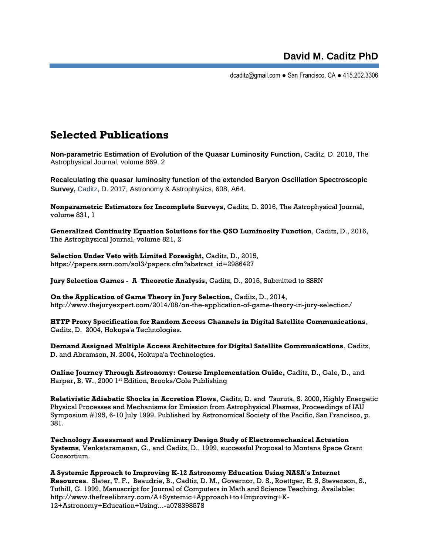dcaditz@gmail.com ● San Francisco, CA ● 415.202.3306

## **Selected Publications**

**Non-parametric Estimation of Evolution of the Quasar Luminosity Function,** Caditz, D. 2018, The Astrophysical Journal, volume 869, 2

**[Recalculating the quasar luminosity function of the extended Baryon Oscillation Spectroscopic](https://www.aanda.org/articles/aa/pdf/forth/aa31850-17.pdf)  [Survey,](https://www.aanda.org/articles/aa/pdf/forth/aa31850-17.pdf)** Caditz, D. 2017, Astronomy & Astrophysics, 608, A64.

**Nonparametric Estimators for Incomplete Surveys**, Caditz, D. 2016, The Astrophysical Journal, volume 831, 1

**Generalized Continuity Equation Solutions for the QSO Luminosity Function**, Caditz, D., 2016, The Astrophysical Journal, volume 821, 2

**Selection Under Veto with Limited Foresight,** Caditz, D., 2015, https://papers.ssrn.com/sol3/papers.cfm?abstract\_id=2986427

**Jury Selection Games - A Theoretic Analysis,** Caditz, D., 2015, Submitted to SSRN

**On the Application of Game Theory in Jury Selection,** Caditz, D., 2014, http://www.thejuryexpert.com/2014/08/on-the-application-of-game-theory-in-jury-selection/

**HTTP Proxy Specification for Random Access Channels in Digital Satellite Communications**, Caditz, D. 2004, Hokupa'a Technologies.

**Demand Assigned Multiple Access Architecture for Digital Satellite Communications**, Caditz, D. and Abramson, N. 2004, Hokupa'a Technologies.

**Online Journey Through Astronomy: Course Implementation Guide,** Caditz, D., Gale, D., and Harper, B. W., 2000 1st Edition, Brooks/Cole Publishing

**Relativistic Adiabatic Shocks in Accretion Flows**, Caditz, D. and Tsuruta, S. 2000, Highly Energetic Physical Processes and Mechanisms for Emission from Astrophysical Plasmas, Proceedings of IAU Symposium #195, 6-10 July 1999. Published by Astronomical Society of the Pacific, San Francisco, p. 381.

**Technology Assessment and Preliminary Design Study of Electromechanical Actuation Systems**, Venkataramanan, G., and Caditz, D., 1999, successful Proposal to Montana Space Grant Consortium.

**A Systemic Approach to Improving K-12 Astronomy Education Using NASA's Internet Resources**. Slater, T. F., Beaudrie, B., Cadtiz, D. M., Governor, D. S., Roettger, E. S, Stevenson, S., Tuthill, G. 1999, Manuscript for Journal of Computers in Math and Science Teaching. Available: http://www.thefreelibrary.com/A+Systemic+Approach+to+Improving+K-12+Astronomy+Education+Using...-a078398578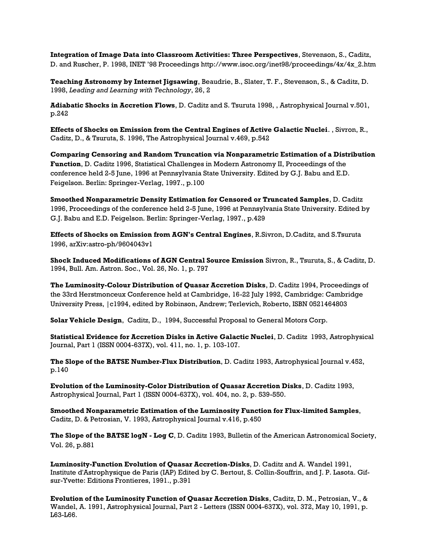**Integration of Image Data into Classroom Activities: Three Perspectives**, Stevenson, S., Caditz, D. and Ruscher, P. 1998, INET '98 Proceedings http://www.isoc.org/inet98/proceedings/4x/4x\_2.htm

**Teaching Astronomy by Internet Jigsawing**, Beaudrie, B., Slater, T. F., Stevenson, S., & Caditz, D. 1998, *Leading and Learning with Technology*, 26, 2

**Adiabatic Shocks in Accretion Flows**, D. Caditz and S. Tsuruta 1998, , Astrophysical Journal v.501, p.242

**Effects of Shocks on Emission from the Central Engines of Active Galactic Nuclei**. , Sivron, R., Caditz, D., & Tsuruta, S. 1996, The Astrophysical Journal v.469, p.542

**Comparing Censoring and Random Truncation via Nonparametric Estimation of a Distribution Function**, D. Caditz 1996, Statistical Challenges in Modern Astronomy II, Proceedings of the conference held 2-5 June, 1996 at Pennsylvania State University. Edited by G.J. Babu and E.D. Feigelson. Berlin: Springer-Verlag, 1997., p.100

**Smoothed Nonparametric Density Estimation for Censored or Truncated Samples**, D. Caditz 1996, Proceedings of the conference held 2-5 June, 1996 at Pennsylvania State University. Edited by G.J. Babu and E.D. Feigelson. Berlin: Springer-Verlag, 1997., p.429

**Effects of Shocks on Emission from AGN's Central Engines**, [R.Sivron,](http://arxiv.org/find/astro-ph/1/au:+Sivron_R/0/1/0/all/0/1) [D.Caditz,](http://arxiv.org/find/astro-ph/1/au:+Caditz_D/0/1/0/all/0/1) and [S.Tsuruta](http://arxiv.org/find/astro-ph/1/au:+Tsuruta_S/0/1/0/all/0/1)  1996, arXiv:astro-ph/9604043v1

**Shock Induced Modifications of AGN Central Source Emission** Sivron, R., Tsuruta, S., & Caditz, D. 1994, Bull. Am. Astron. Soc., Vol. 26, No. 1, p. 797

**The Luminosity-Colour Distribution of Quasar Accretion Disks**, D. Caditz 1994, Proceedings of the 33rd Herstmonceux Conference held at Cambridge, 16-22 July 1992, Cambridge: Cambridge University Press, |c1994, edited by Robinson, Andrew; Terlevich, Roberto, ISBN 0521464803

**Solar Vehicle Design**, Caditz, D., 1994, Successful Proposal to General Motors Corp.

**Statistical Evidence for Accretion Disks in Active Galactic Nuclei**, D. Caditz 1993, Astrophysical Journal, Part 1 (ISSN 0004-637X), vol. 411, no. 1, p. 103-107.

**The Slope of the BATSE Number-Flux Distribution**, D. Caditz 1993, Astrophysical Journal v.452, p.140

**Evolution of the Luminosity-Color Distribution of Quasar Accretion Disks**, D. Caditz 1993, Astrophysical Journal, Part 1 (ISSN 0004-637X), vol. 404, no. 2, p. 539-550.

**Smoothed Nonparametric Estimation of the Luminosity Function for Flux-limited Samples**, Caditz, D. & Petrosian, V. 1993, Astrophysical Journal v.416, p.450

**The Slope of the BATSE logN - Log C**, D. Caditz 1993, Bulletin of the American Astronomical Society, Vol. 26, p.881

**Luminosity-Function Evolution of Quasar Accretion-Disks**, D. Caditz and A. Wandel 1991, Institute d'Astrophysique de Paris (IAP) Edited by C. Bertout, S. Collin-Souffrin, and J. P. Lasota. Gifsur-Yvette: Editions Frontieres, 1991., p.391

**Evolution of the Luminosity Function of Quasar Accretion Disks**, Caditz, D. M., Petrosian, V., & Wandel, A. 1991, Astrophysical Journal, Part 2 - Letters (ISSN 0004-637X), vol. 372, May 10, 1991, p. L63-L66.